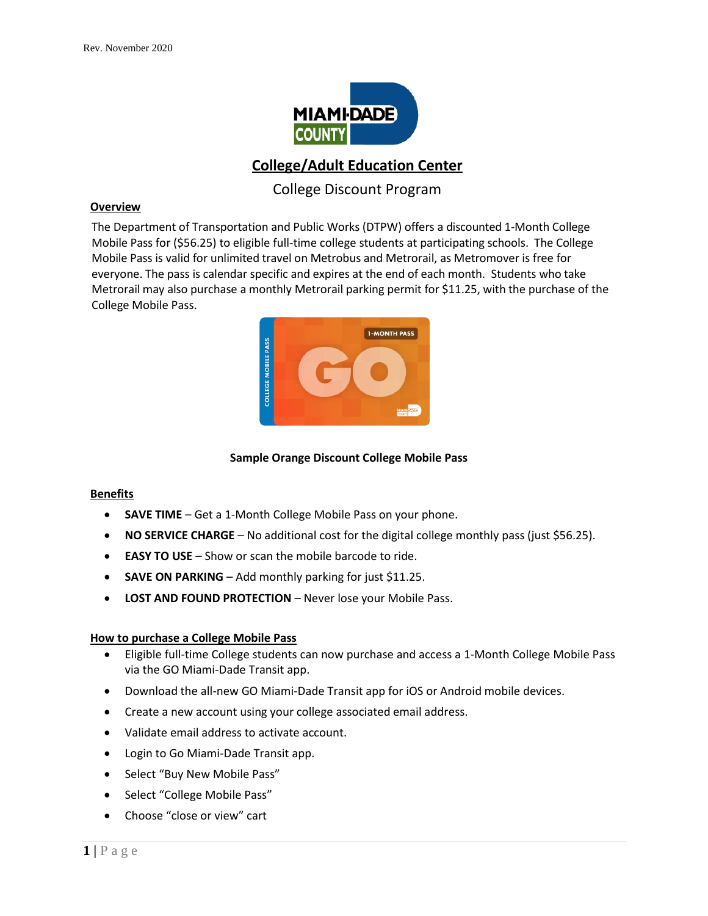

# **College/Adult Education Center**

# College Discount Program

#### **Overview**

The Department of Transportation and Public Works (DTPW) offers a discounted 1-Month College Mobile Pass for (\$56.25) to eligible full-time college students at participating schools. The College Mobile Pass is valid for unlimited travel on Metrobus and Metrorail, as Metromover is free for everyone. The pass is calendar specific and expires at the end of each month. Students who take Metrorail may also purchase a monthly Metrorail parking permit for \$11.25, with the purchase of the College Mobile Pass.



### **Sample Orange Discount College Mobile Pass**

#### **Benefits**

- **SAVE TIME** Get a 1-Month College Mobile Pass on your phone.
- **NO SERVICE CHARGE** No additional cost for the digital college monthly pass (just \$56.25).
- **EASY TO USE** Show or scan the mobile barcode to ride.
- **SAVE ON PARKING** Add monthly parking for just \$11.25.
- **LOST AND FOUND PROTECTION** Never lose your Mobile Pass.

#### **How to purchase a College Mobile Pass**

- Eligible full-time College students can now purchase and access a 1-Month College Mobile Pass via the GO Miami-Dade Transit app.
- Download the all-new GO Miami-Dade Transit app for iOS or Android mobile devices.
- Create a new account using your college associated email address.
- Validate email address to activate account.
- Login to Go Miami-Dade Transit app.
- Select "Buy New Mobile Pass"
- Select "College Mobile Pass"
- Choose "close or view" cart